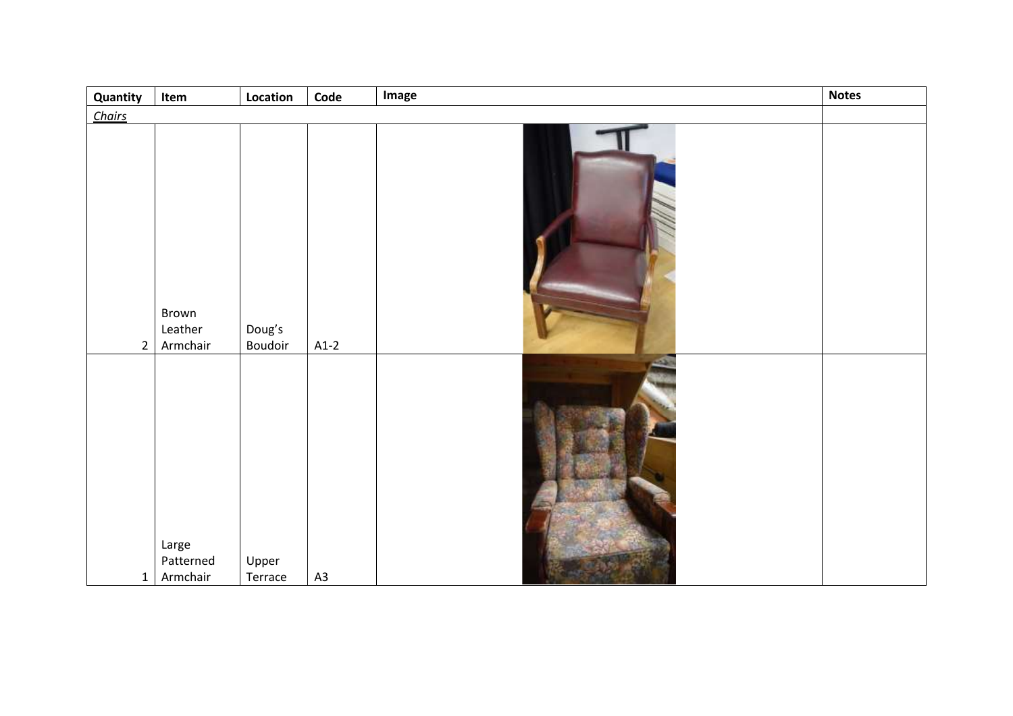| Quantity       | Item                           | Location          | Code   | Image | <b>Notes</b> |
|----------------|--------------------------------|-------------------|--------|-------|--------------|
| <b>Chairs</b>  |                                |                   |        |       |              |
| $\overline{2}$ | Brown<br>Leather<br>Armchair   | Doug's<br>Boudoir | $A1-2$ |       |              |
| $\mathbf{1}$   | Large<br>Patterned<br>Armchair | Upper<br>Terrace  | A3     |       |              |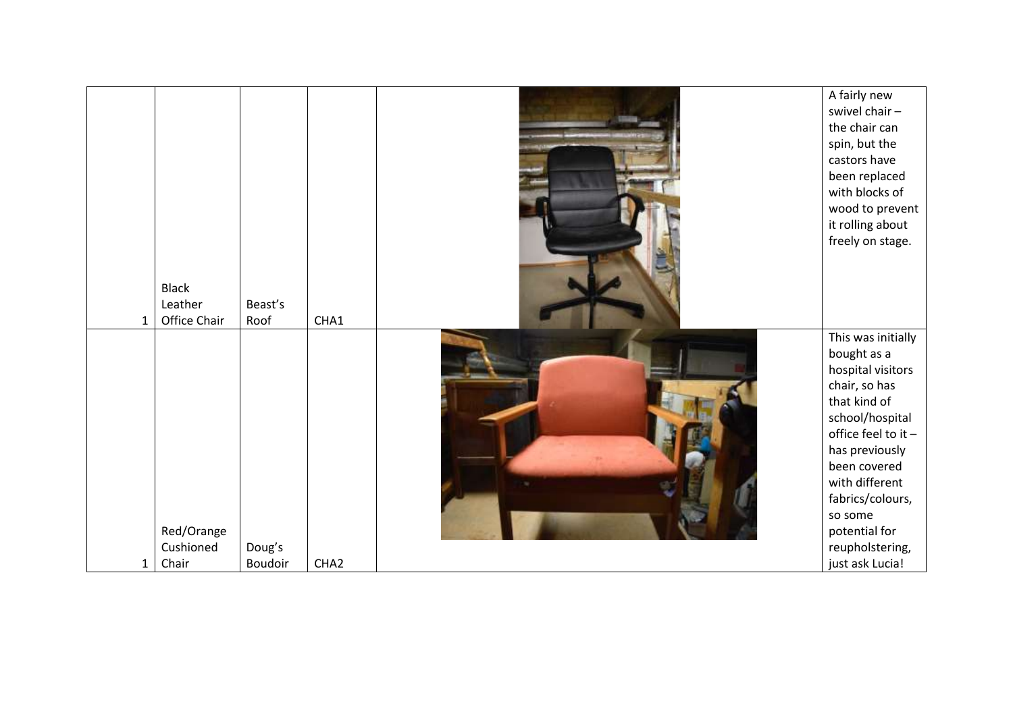| $\mathbf{1}$ | <b>Black</b><br>Leather<br>Office Chair | Beast's<br>Roof   | CHA1             | A fairly new<br>swivel chair-<br>the chair can<br>spin, but the<br>castors have<br>been replaced<br>with blocks of<br>wood to prevent<br>it rolling about<br>freely on stage.                                                                                                 |
|--------------|-----------------------------------------|-------------------|------------------|-------------------------------------------------------------------------------------------------------------------------------------------------------------------------------------------------------------------------------------------------------------------------------|
| $\mathbf{1}$ | Red/Orange<br>Cushioned<br>Chair        | Doug's<br>Boudoir | CHA <sub>2</sub> | This was initially<br>bought as a<br>hospital visitors<br>chair, so has<br>that kind of<br>school/hospital<br>office feel to it $-$<br>has previously<br>been covered<br>with different<br>fabrics/colours,<br>so some<br>potential for<br>reupholstering,<br>just ask Lucia! |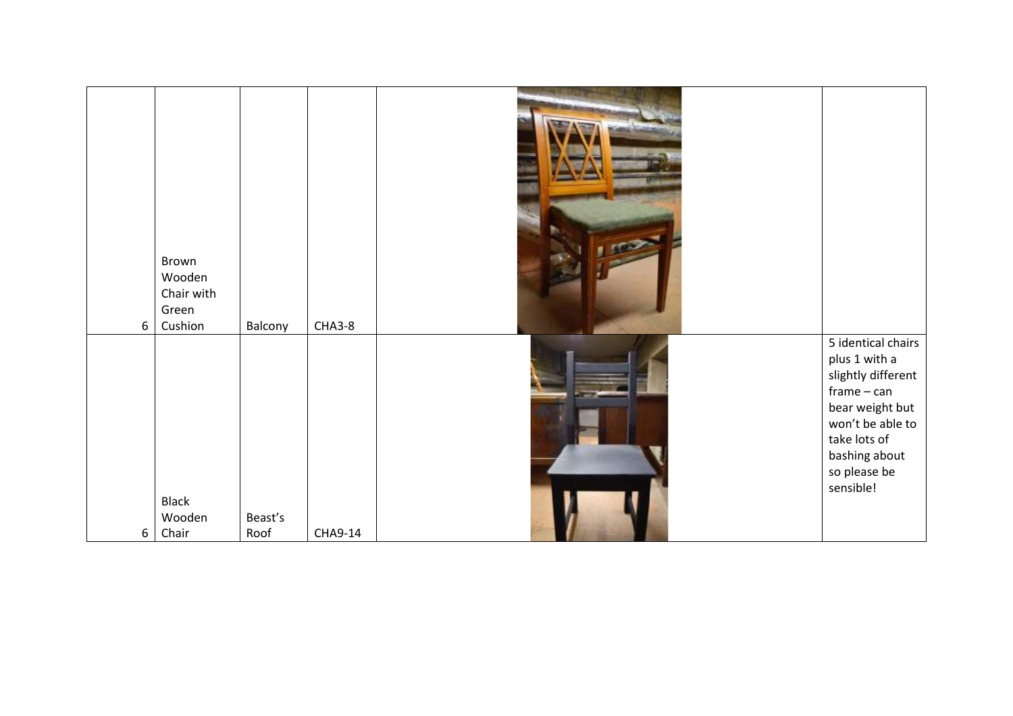|       | Brown<br>Wooden<br>Chair with<br>Green |                 |         |                                                                                                                                                           |
|-------|----------------------------------------|-----------------|---------|-----------------------------------------------------------------------------------------------------------------------------------------------------------|
| $6\,$ | Cushion                                | Balcony         | CHA3-8  | 5 identical chairs                                                                                                                                        |
| 6     | Black<br>Wooden<br>Chair               | Beast's<br>Roof | CHA9-14 | plus 1 with a<br>slightly different<br>$frame - can$<br>bear weight but<br>won't be able to<br>take lots of<br>bashing about<br>so please be<br>sensible! |
|       |                                        |                 |         |                                                                                                                                                           |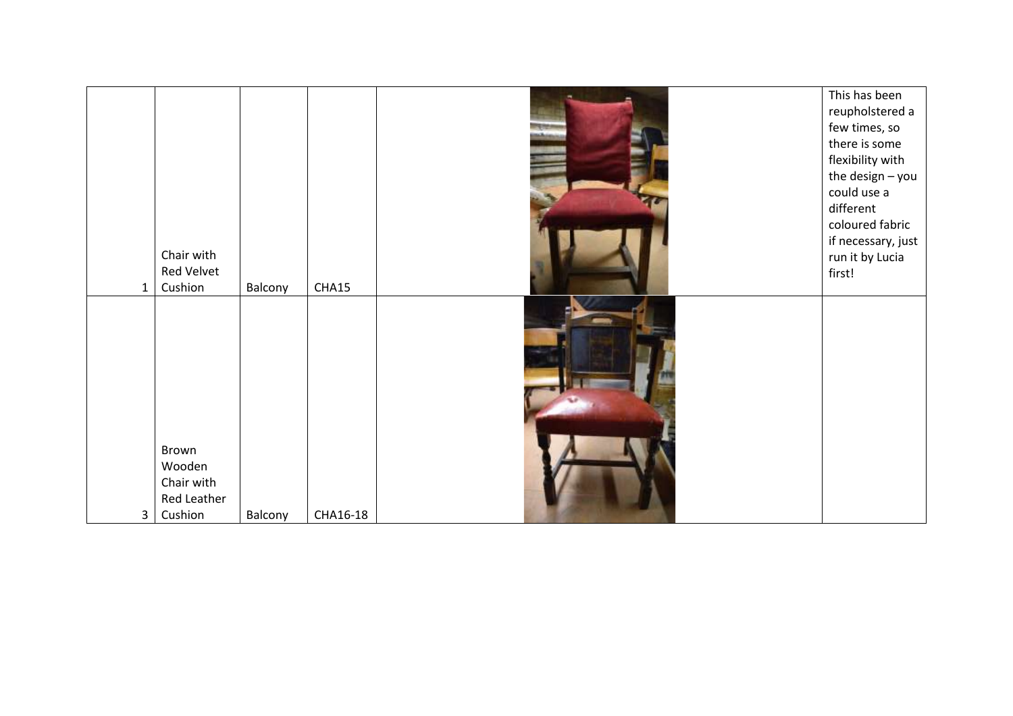|              | Chair with<br>Red Velvet |         |          | This has been<br>reupholstered a<br>few times, so<br>there is some<br>flexibility with<br>the design - you<br>could use a<br>different<br>coloured fabric<br>if necessary, just<br>run it by Lucia<br>first! |
|--------------|--------------------------|---------|----------|--------------------------------------------------------------------------------------------------------------------------------------------------------------------------------------------------------------|
| $\mathbf{1}$ | Cushion                  | Balcony | CHA15    |                                                                                                                                                                                                              |
|              |                          |         |          |                                                                                                                                                                                                              |
|              | Brown                    |         |          |                                                                                                                                                                                                              |
|              | Wooden                   |         |          |                                                                                                                                                                                                              |
|              | Chair with               |         |          |                                                                                                                                                                                                              |
| 3            | Red Leather<br>Cushion   | Balcony | CHA16-18 |                                                                                                                                                                                                              |
|              |                          |         |          |                                                                                                                                                                                                              |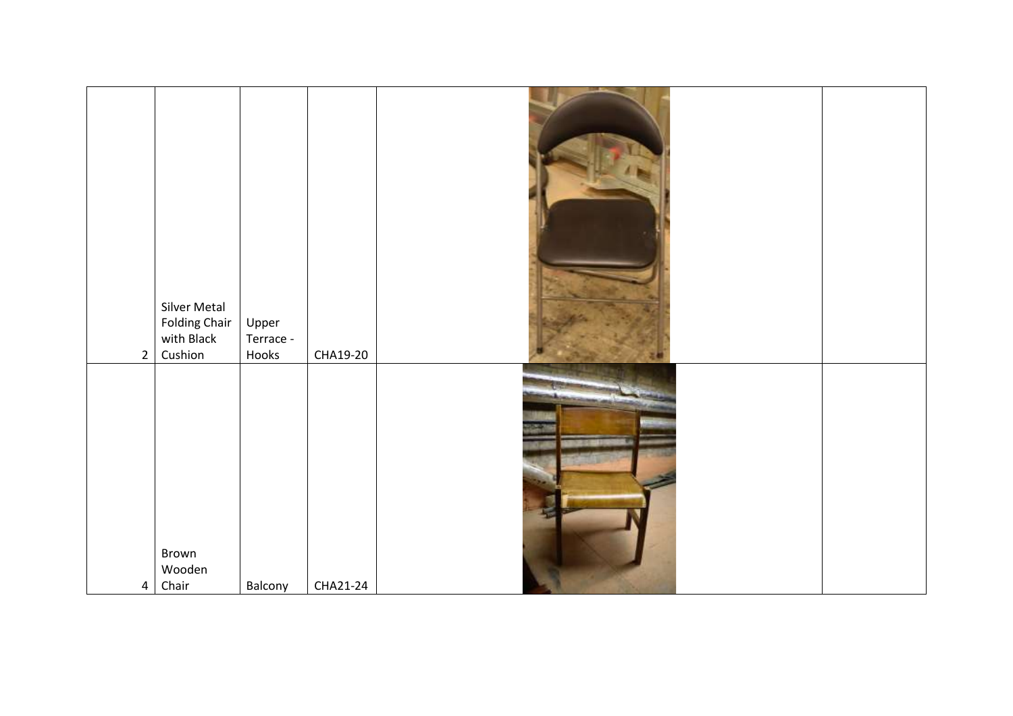| Silver Metal<br><b>Folding Chair</b><br>Upper<br>with Black<br>Terrace -<br>Cushion<br>Hooks<br>$\overline{2}$<br>CHA19-20 |  |
|----------------------------------------------------------------------------------------------------------------------------|--|
|                                                                                                                            |  |
|                                                                                                                            |  |
| Brown<br>Wooden<br>Chair<br>Balcony<br>CHA21-24<br>$\overline{4}$                                                          |  |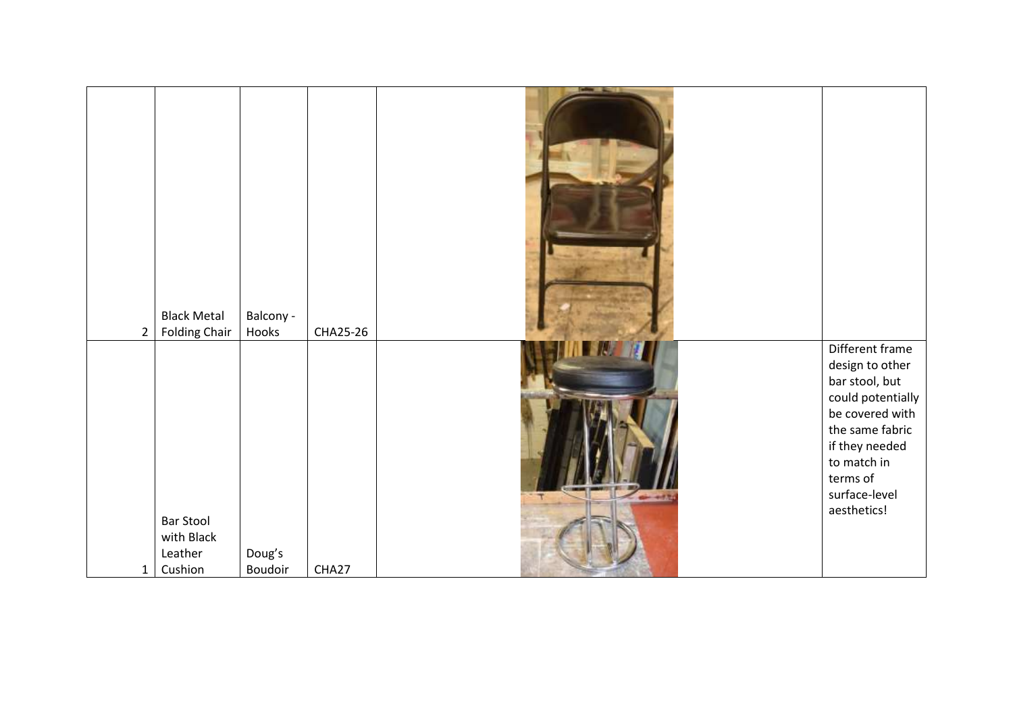| $\overline{2}$ | <b>Black Metal</b><br><b>Folding Chair</b>           | Balcony -<br>Hooks | CHA25-26 |        |                                                                                                                                                                                              |
|----------------|------------------------------------------------------|--------------------|----------|--------|----------------------------------------------------------------------------------------------------------------------------------------------------------------------------------------------|
| $\mathbf{1}$   | <b>Bar Stool</b><br>with Black<br>Leather<br>Cushion | Doug's<br>Boudoir  | CHA27    | $-448$ | Different frame<br>design to other<br>bar stool, but<br>could potentially<br>be covered with<br>the same fabric<br>if they needed<br>to match in<br>terms of<br>surface-level<br>aesthetics! |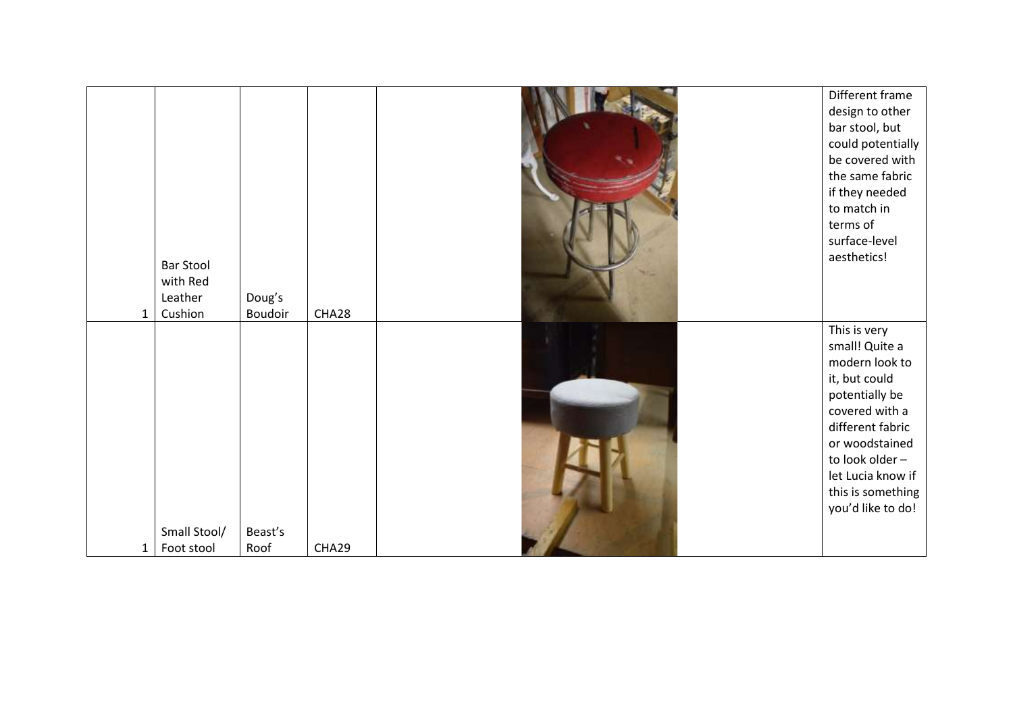| $\mathbf{1}$ | <b>Bar Stool</b><br>with Red<br>Leather<br>Cushion | Doug's<br>Boudoir | CHA28 | Different frame<br>design to other<br>bar stool, but<br>could potentially<br>be covered with<br>the same fabric<br>if they needed<br>to match in<br>terms of<br>surface-level<br>aesthetics! |
|--------------|----------------------------------------------------|-------------------|-------|----------------------------------------------------------------------------------------------------------------------------------------------------------------------------------------------|
|              |                                                    |                   |       | This is very<br>small! Quite a<br>modern look to<br>it, but could                                                                                                                            |
|              |                                                    |                   |       | potentially be<br>covered with a<br>different fabric<br>or woodstained<br>to look older -                                                                                                    |
|              | Small Stool/                                       | Beast's           |       | let Lucia know if<br>this is something<br>you'd like to do!                                                                                                                                  |
| 1            | Foot stool                                         | Roof              | CHA29 |                                                                                                                                                                                              |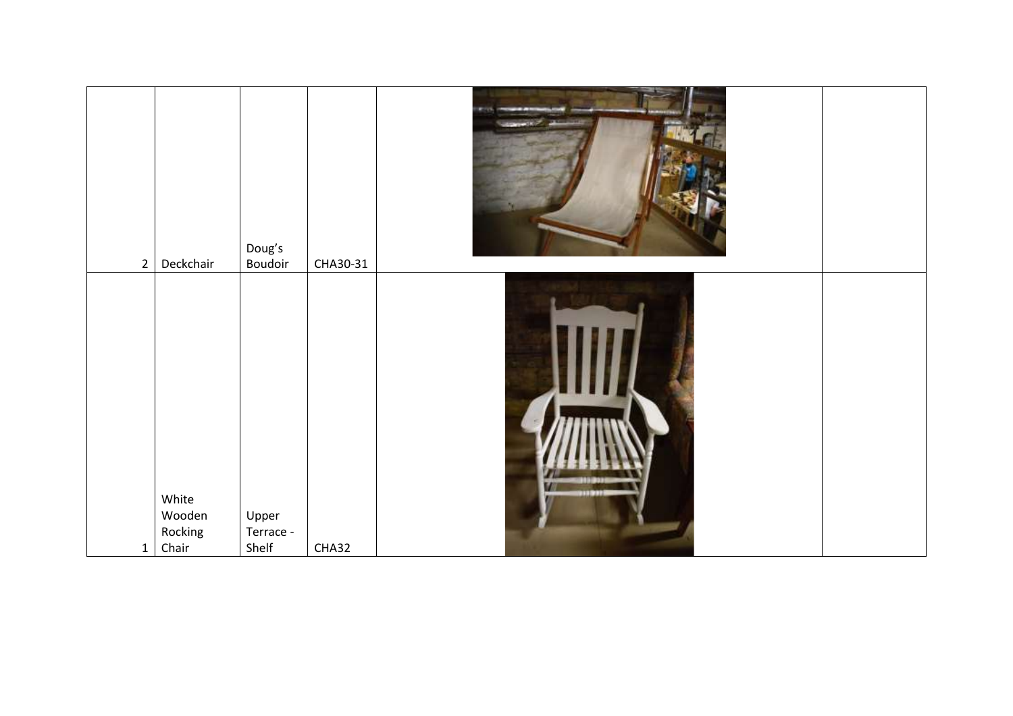| $\overline{2}$ | Deckchair                           | Doug's<br>Boudoir           | CHA30-31 |   |  |
|----------------|-------------------------------------|-----------------------------|----------|---|--|
| $\mathbf{1}$   | White<br>Wooden<br>Rocking<br>Chair | Upper<br>Terrace -<br>Shelf | CHA32    | Ŵ |  |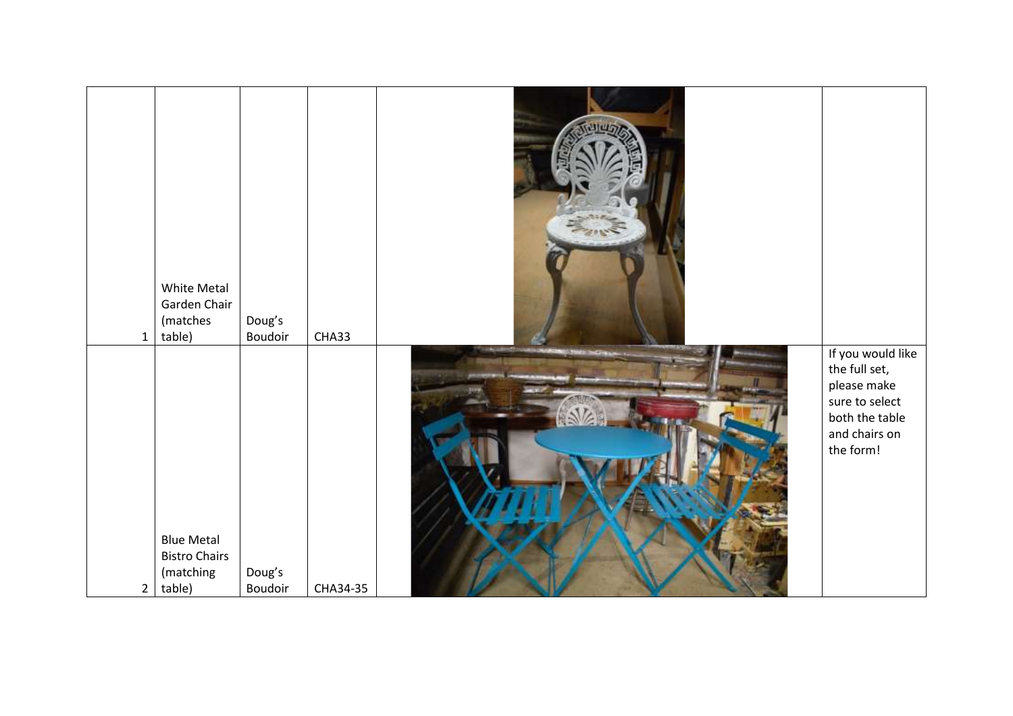| $\mathbf{1}$   | White Metal<br>Garden Chair<br>(matches<br>table)                | Doug's<br>Boudoir | CHA33    |                                                                                                                     |
|----------------|------------------------------------------------------------------|-------------------|----------|---------------------------------------------------------------------------------------------------------------------|
| $\overline{2}$ | <b>Blue Metal</b><br><b>Bistro Chairs</b><br>(matching<br>table) | Doug's<br>Boudoir | CHA34-35 | If you would like<br>the full set,<br>please make<br>sure to select<br>both the table<br>and chairs on<br>the form! |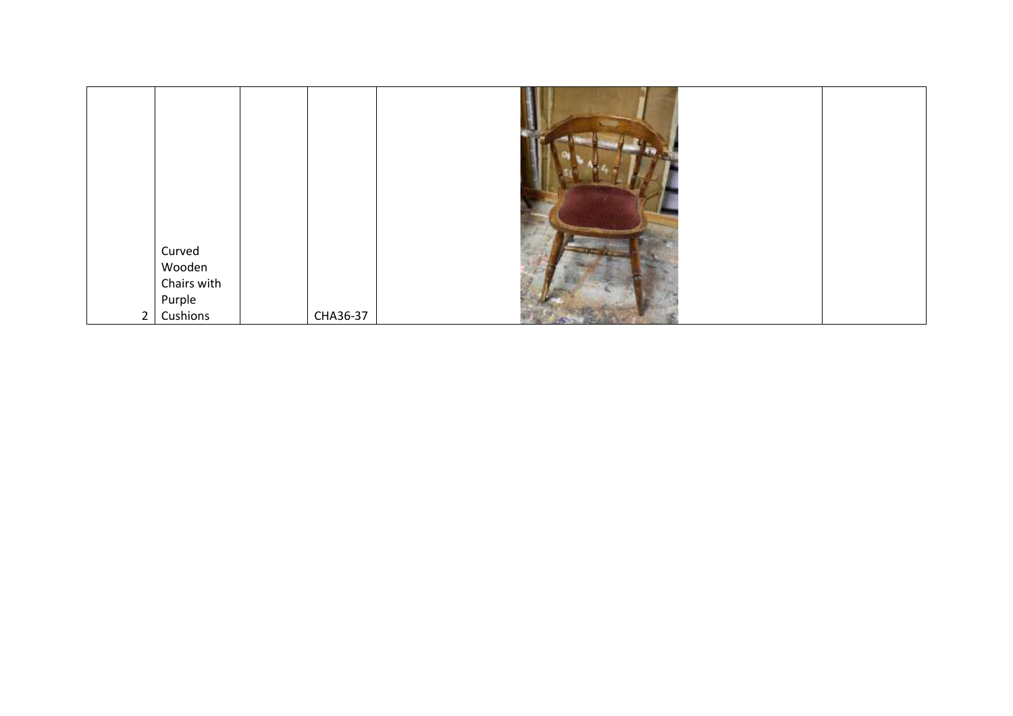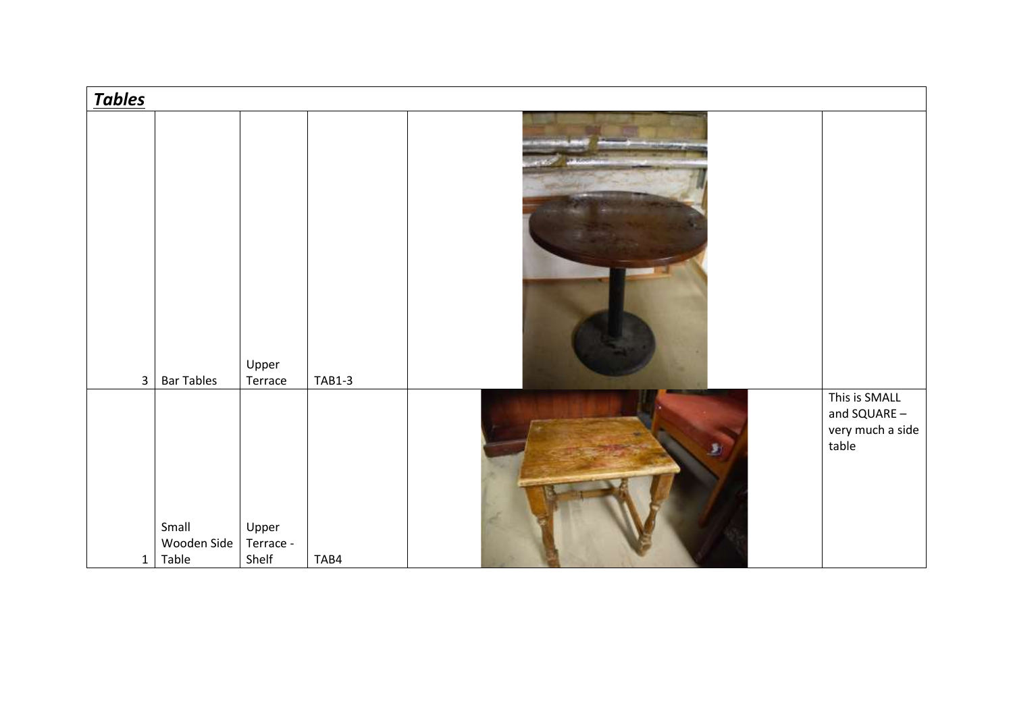| <b>Tables</b> |                               |                             |               |                                                            |
|---------------|-------------------------------|-----------------------------|---------------|------------------------------------------------------------|
| $\mathbf{3}$  | <b>Bar Tables</b>             | Upper<br>Terrace            | <b>TAB1-3</b> |                                                            |
| $\mathbf{1}$  | Small<br>Wooden Side<br>Table | Upper<br>Terrace -<br>Shelf | TAB4          | This is SMALL<br>and SQUARE -<br>very much a side<br>table |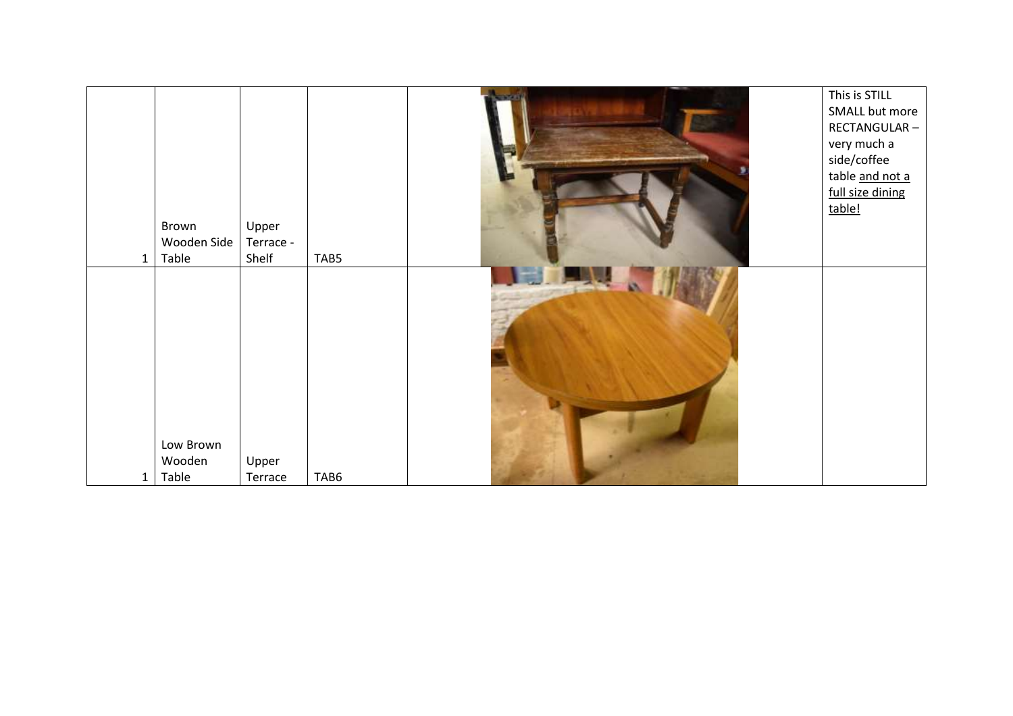| $\mathbf{1}$ | Brown<br>Wooden Side<br>Table | Upper<br>Terrace -<br>Shelf | TAB5 | This is STILL<br>SMALL but more<br>RECTANGULAR-<br>very much a<br>side/coffee<br>table and not a<br>full size dining<br>table! |
|--------------|-------------------------------|-----------------------------|------|--------------------------------------------------------------------------------------------------------------------------------|
| 1            | Low Brown<br>Wooden<br>Table  | Upper<br>Terrace            | TAB6 |                                                                                                                                |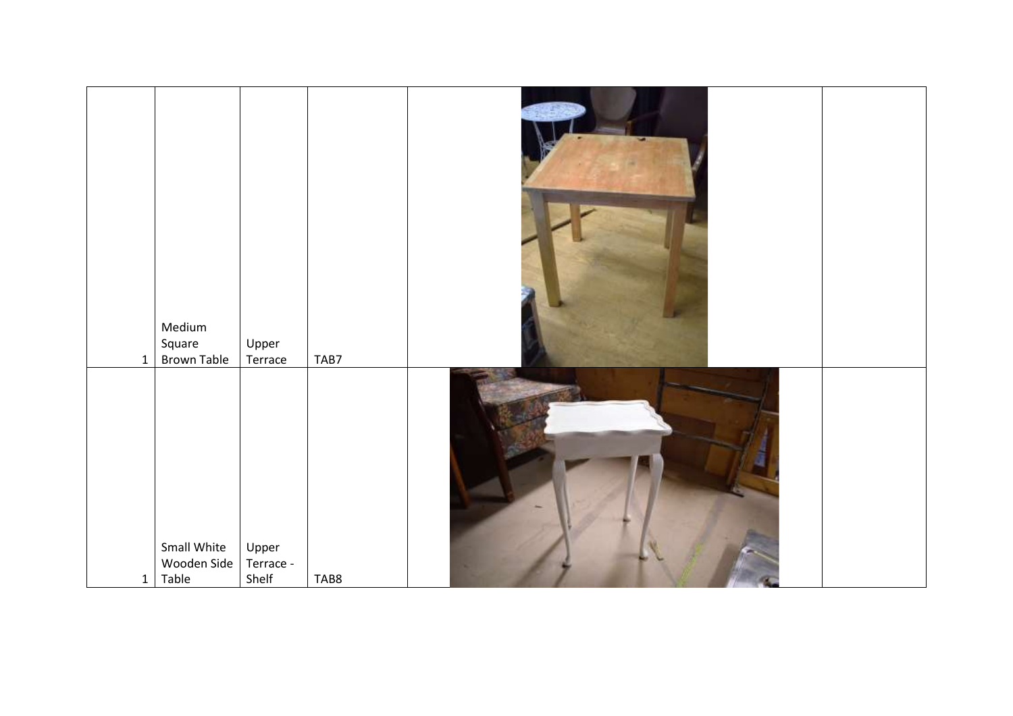| $\mathbf{1}$ | Medium<br>Square<br><b>Brown Table</b> | Upper<br>Terrace            | TAB7 |  |
|--------------|----------------------------------------|-----------------------------|------|--|
| $\mathbf{1}$ | Small White<br>Wooden Side<br>Table    | Upper<br>Terrace -<br>Shelf | TAB8 |  |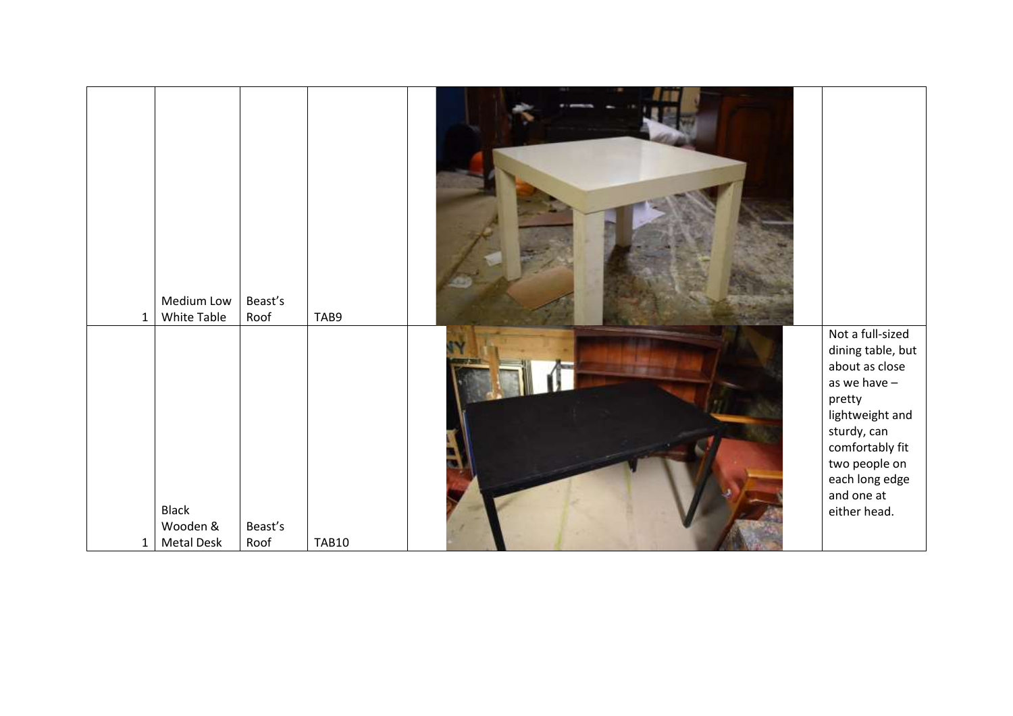| $\mathbf{1}$ | Medium Low<br>White Table              | Beast's<br>Roof | TAB9         |                                                                                                                                                                                                         |
|--------------|----------------------------------------|-----------------|--------------|---------------------------------------------------------------------------------------------------------------------------------------------------------------------------------------------------------|
| $\mathbf{1}$ | <b>Black</b><br>Wooden &<br>Metal Desk | Beast's<br>Roof | <b>TAB10</b> | Not a full-sized<br>dining table, but<br>about as close<br>as we have -<br>pretty<br>lightweight and<br>sturdy, can<br>comfortably fit<br>two people on<br>each long edge<br>and one at<br>either head. |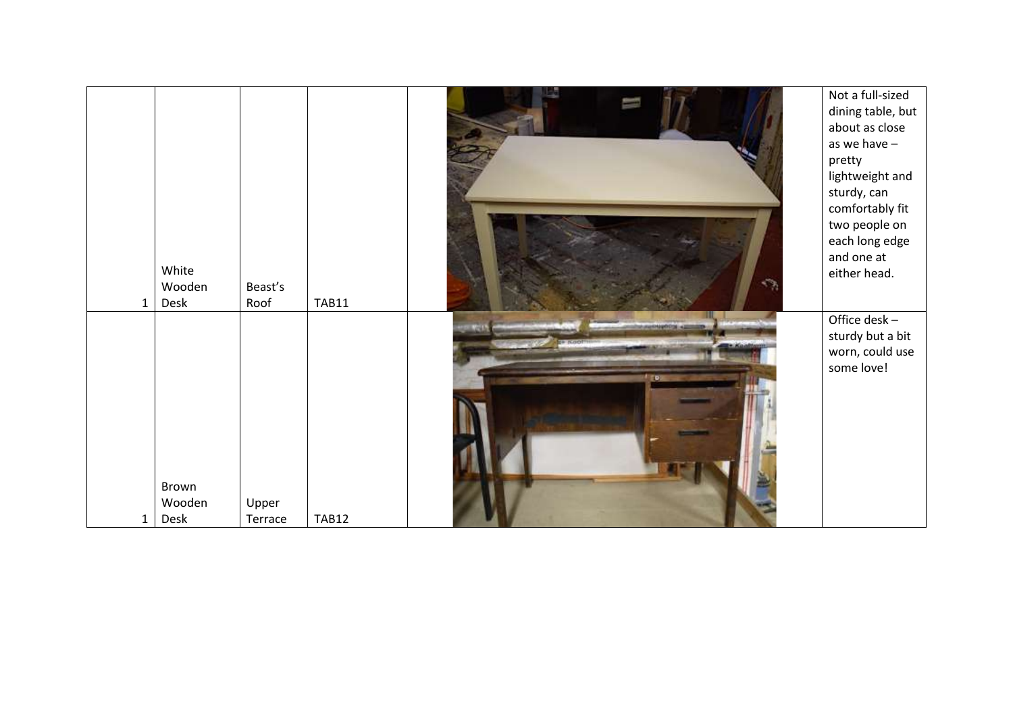| $\mathbf{1}$ | White<br>Wooden<br>Desk | Beast's<br>Roof  | <b>TAB11</b> |                                                | Not a full-sized<br>dining table, but<br>about as close<br>as we have -<br>pretty<br>lightweight and<br>sturdy, can<br>comfortably fit<br>two people on<br>each long edge<br>and one at<br>either head. |
|--------------|-------------------------|------------------|--------------|------------------------------------------------|---------------------------------------------------------------------------------------------------------------------------------------------------------------------------------------------------------|
| 1            | Brown<br>Wooden<br>Desk | Upper<br>Terrace | <b>TAB12</b> | <b>UNIVERSITY</b><br>3, 256<br><b>All City</b> | Office desk-<br>sturdy but a bit<br>worn, could use<br>some love!                                                                                                                                       |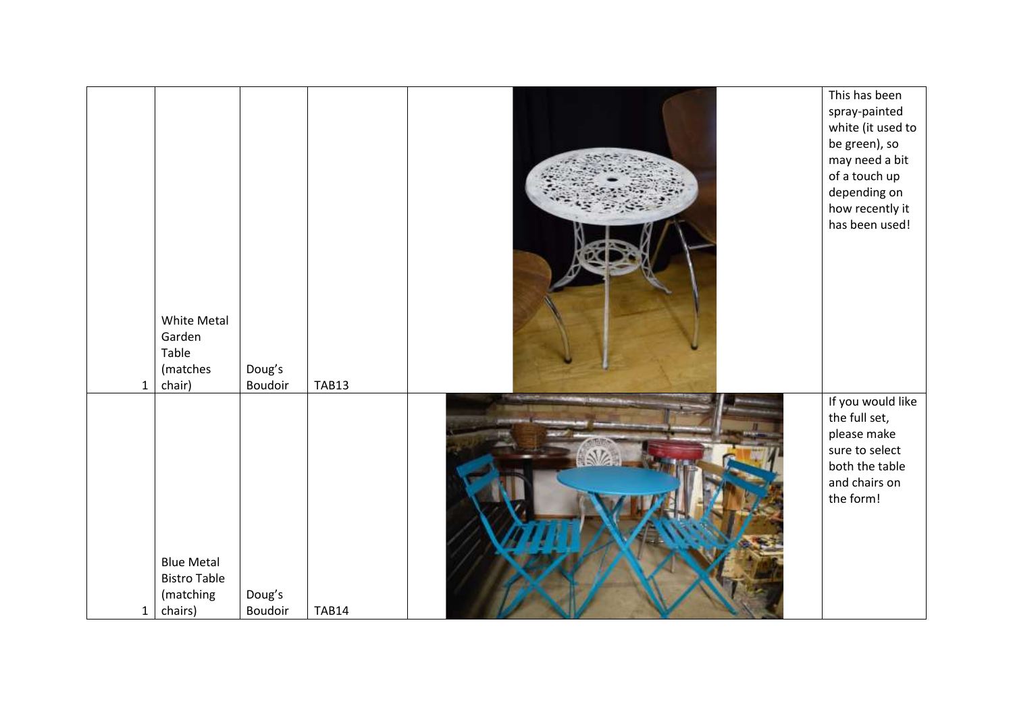| $\mathbf{1}$ | White Metal<br>Garden<br>Table<br>(matches<br>chair)             | Doug's<br>Boudoir | TAB13        | This has been<br>spray-painted<br>white (it used to<br>be green), so<br>may need a bit<br>of a touch up<br>depending on<br>how recently it<br>has been used! |
|--------------|------------------------------------------------------------------|-------------------|--------------|--------------------------------------------------------------------------------------------------------------------------------------------------------------|
| $\mathbf{1}$ | <b>Blue Metal</b><br><b>Bistro Table</b><br>(matching<br>chairs) | Doug's<br>Boudoir | <b>TAB14</b> | If you would like<br>the full set,<br>please make<br>sure to select<br>both the table<br>and chairs on<br>the form!                                          |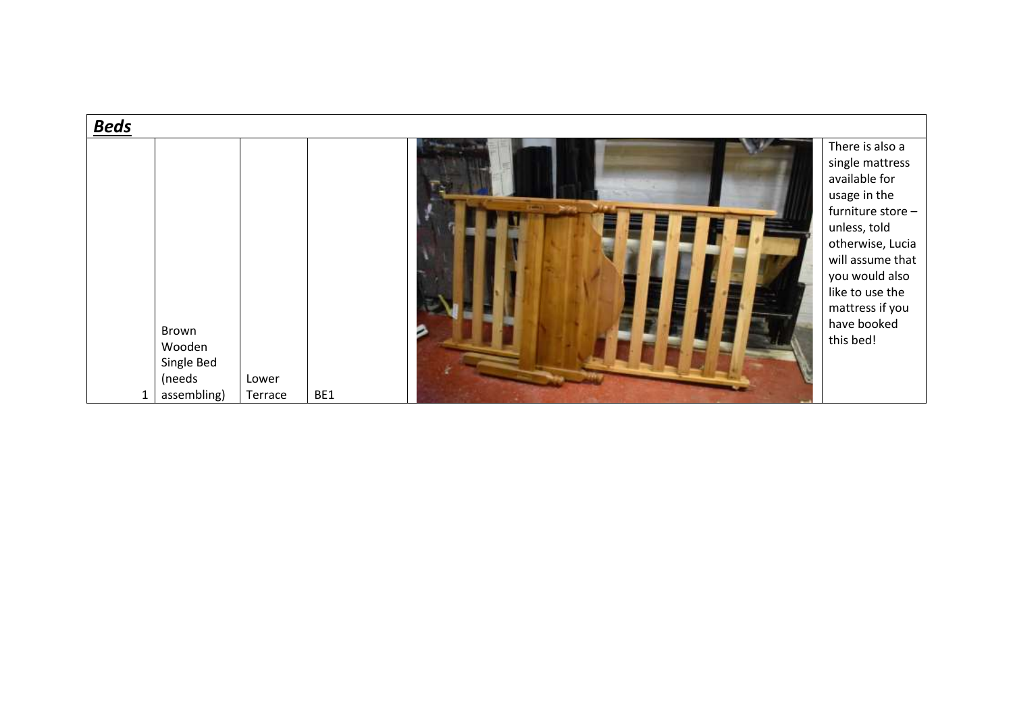| There is also a<br>single mattress<br>available for<br>usage in the<br>furniture store-<br>unless, told<br>otherwise, Lucia<br>will assume that<br>you would also<br>like to use the<br>mattress if you<br>have booked<br>Brown<br>this bed!<br>Wooden<br>Single Bed<br>(needs<br>Lower<br>assembling)<br>BE1<br>Terrace | <b>Beds</b> |  |  |  |
|--------------------------------------------------------------------------------------------------------------------------------------------------------------------------------------------------------------------------------------------------------------------------------------------------------------------------|-------------|--|--|--|
|                                                                                                                                                                                                                                                                                                                          |             |  |  |  |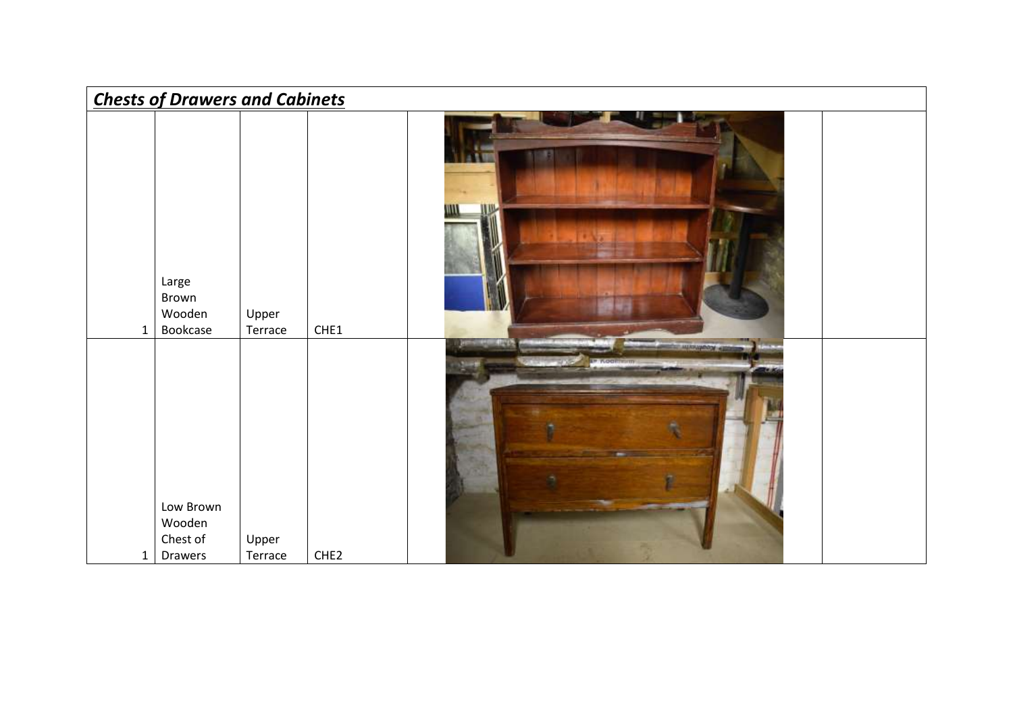|              | <b>Chests of Drawers and Cabinets</b>      |                  |                  |  |
|--------------|--------------------------------------------|------------------|------------------|--|
| $\mathbf{1}$ | Large<br>Brown<br>Wooden<br>Bookcase       | Upper<br>Terrace | CHE1             |  |
| $\mathbf{1}$ | Low Brown<br>Wooden<br>Chest of<br>Drawers | Upper<br>Terrace | CHE <sub>2</sub> |  |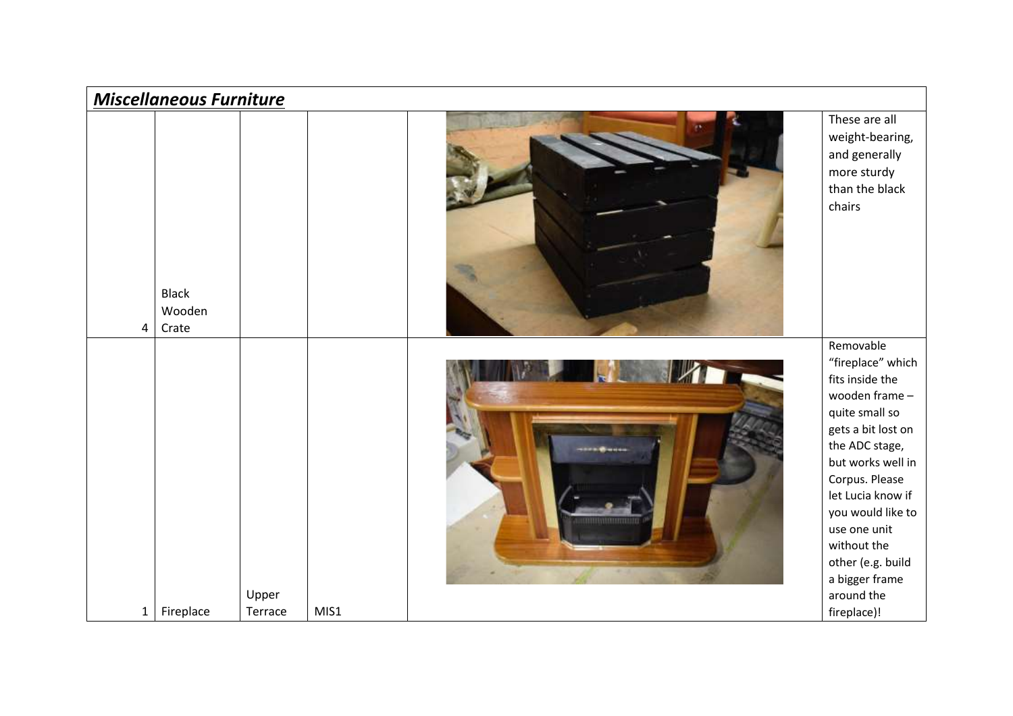|                         | <b>Miscellaneous Furniture</b>  |                  |      |                   |                                                                                                                                                                                                                                                                                                                  |
|-------------------------|---------------------------------|------------------|------|-------------------|------------------------------------------------------------------------------------------------------------------------------------------------------------------------------------------------------------------------------------------------------------------------------------------------------------------|
| $\overline{\mathbf{4}}$ | <b>Black</b><br>Wooden<br>Crate |                  |      |                   | These are all<br>weight-bearing,<br>and generally<br>more sturdy<br>than the black<br>chairs                                                                                                                                                                                                                     |
| $\mathbf{1}$            | Fireplace                       | Upper<br>Terrace | MIS1 | <b>CONTRACTOR</b> | Removable<br>"fireplace" which<br>fits inside the<br>wooden frame-<br>quite small so<br>gets a bit lost on<br>the ADC stage,<br>but works well in<br>Corpus. Please<br>let Lucia know if<br>you would like to<br>use one unit<br>without the<br>other (e.g. build<br>a bigger frame<br>around the<br>fireplace)! |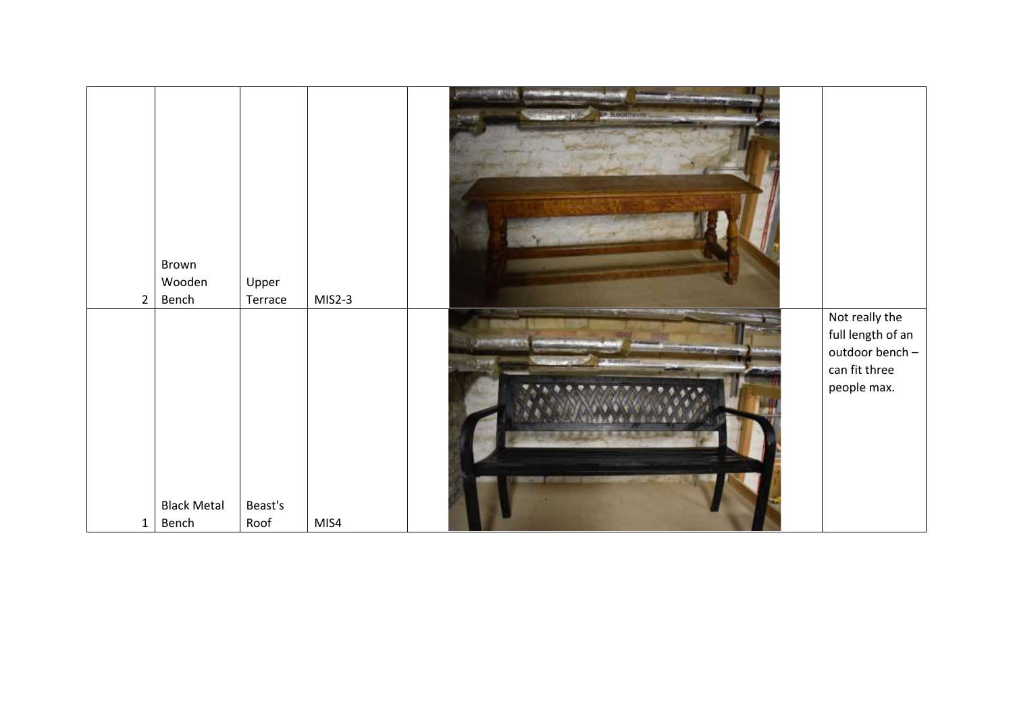| $\overline{2}$ | Brown<br>Wooden<br>Bench    | Upper<br>Terrace | MIS2-3 | <b>E KOOTFIELD</b> |                                                                                        |
|----------------|-----------------------------|------------------|--------|--------------------|----------------------------------------------------------------------------------------|
| $\mathbf{1}$   | <b>Black Metal</b><br>Bench | Beast's<br>Roof  | MIS4   | <b>RESISTANCE</b>  | Not really the<br>full length of an<br>outdoor bench -<br>can fit three<br>people max. |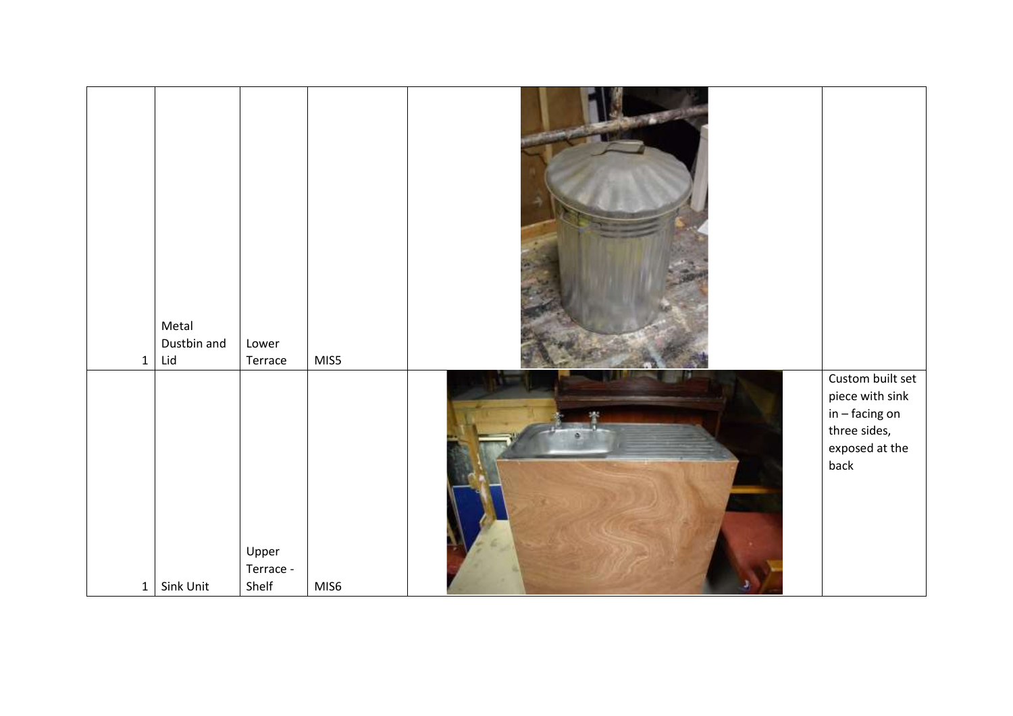|                              | Metal<br>Dustbin and | Lower                                  |              |                                                                                                   |
|------------------------------|----------------------|----------------------------------------|--------------|---------------------------------------------------------------------------------------------------|
| $\mathbf{1}$<br>$\mathbf{1}$ | Lid<br>Sink Unit     | Terrace<br>Upper<br>Terrace -<br>Shelf | MIS5<br>MIS6 | Custom built set<br>piece with sink<br>$in$ - facing on<br>three sides,<br>exposed at the<br>back |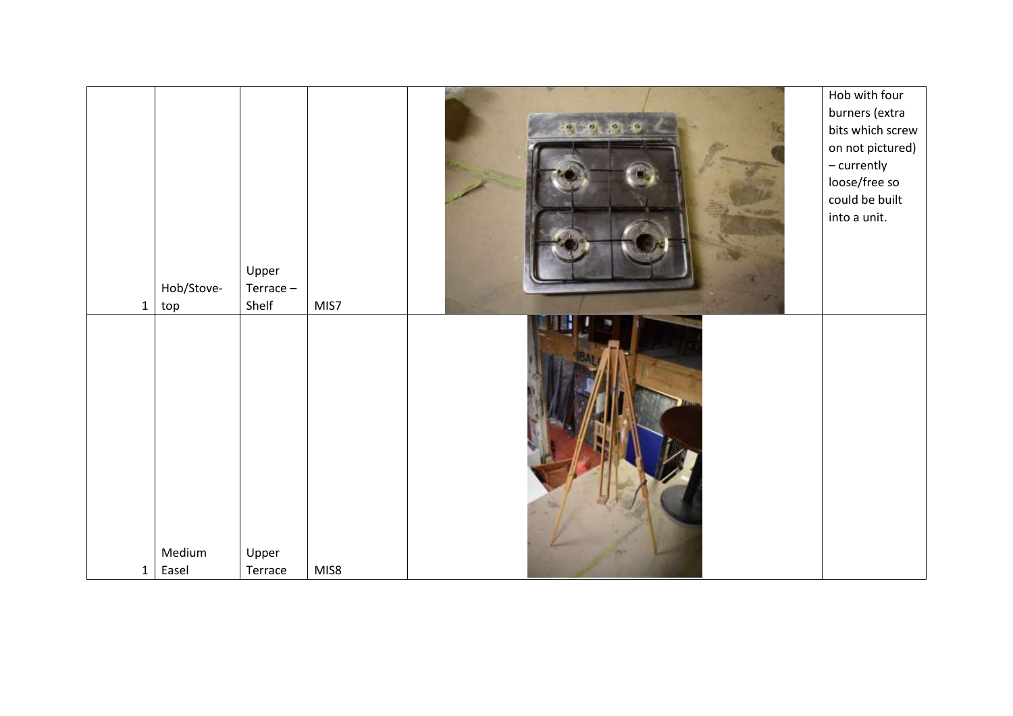|              | Hob/Stove- | Upper<br>$Terrace -$ |      | Hob with four<br>burners (extra<br>bits which screw<br>on not pictured)<br>- currently<br>loose/free so<br>could be built<br>into a unit. |
|--------------|------------|----------------------|------|-------------------------------------------------------------------------------------------------------------------------------------------|
| $\mathbf{1}$ | top        | Shelf                | MIS7 |                                                                                                                                           |
|              | Medium     | Upper                |      |                                                                                                                                           |
| $\mathbf{1}$ | Easel      | Terrace              | MIS8 |                                                                                                                                           |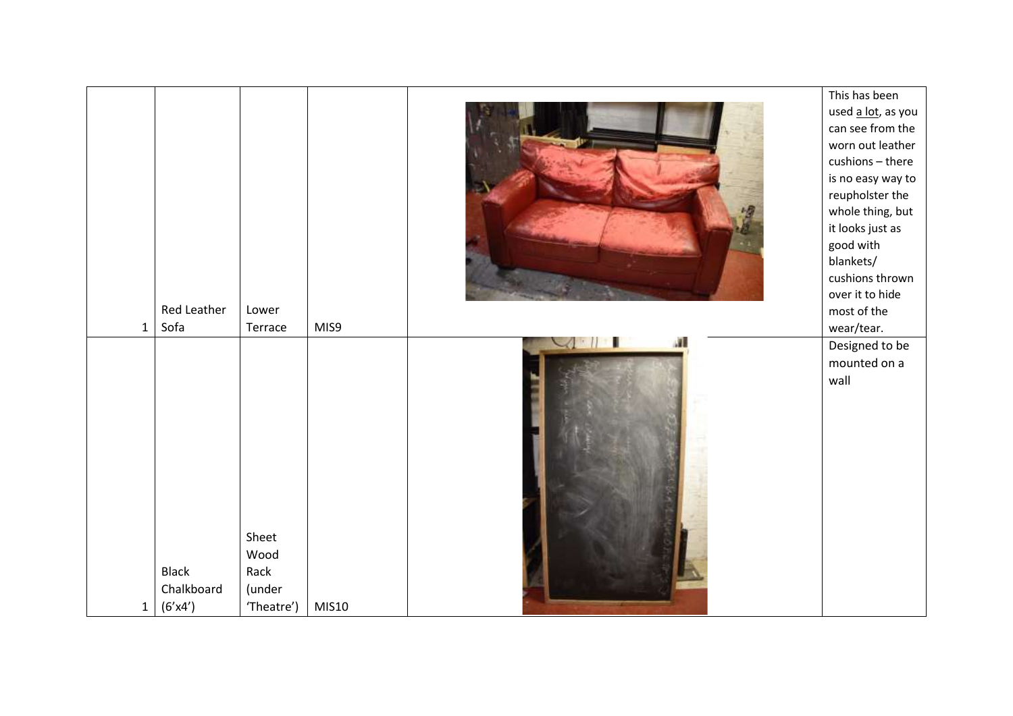|              |              |            |       |   | This has been      |
|--------------|--------------|------------|-------|---|--------------------|
|              |              |            |       |   | used a lot, as you |
|              |              |            |       |   | can see from the   |
|              |              |            |       |   | worn out leather   |
|              |              |            |       |   | cushions - there   |
|              |              |            |       |   | is no easy way to  |
|              |              |            |       |   | reupholster the    |
|              |              |            |       |   | whole thing, but   |
|              |              |            |       |   | it looks just as   |
|              |              |            |       |   | good with          |
|              |              |            |       |   | blankets/          |
|              |              |            |       |   | cushions thrown    |
|              |              |            |       |   | over it to hide    |
|              | Red Leather  | Lower      |       |   | most of the        |
| $\mathbf{1}$ | Sofa         | Terrace    | MIS9  |   | wear/tear.         |
|              |              |            |       | M | Designed to be     |
|              |              |            |       |   | mounted on a       |
|              |              |            |       |   | wall               |
|              |              |            |       |   |                    |
|              |              |            |       |   |                    |
|              |              |            |       |   |                    |
|              |              |            |       |   |                    |
|              |              |            |       |   |                    |
|              |              |            |       |   |                    |
|              |              |            |       |   |                    |
|              |              |            |       |   |                    |
|              |              | Sheet      |       |   |                    |
|              |              | Wood       |       |   |                    |
|              | <b>Black</b> | Rack       |       |   |                    |
|              | Chalkboard   | (under     |       |   |                    |
| $\mathbf{1}$ | (6'x4')      | 'Theatre') | MIS10 |   |                    |
|              |              |            |       |   |                    |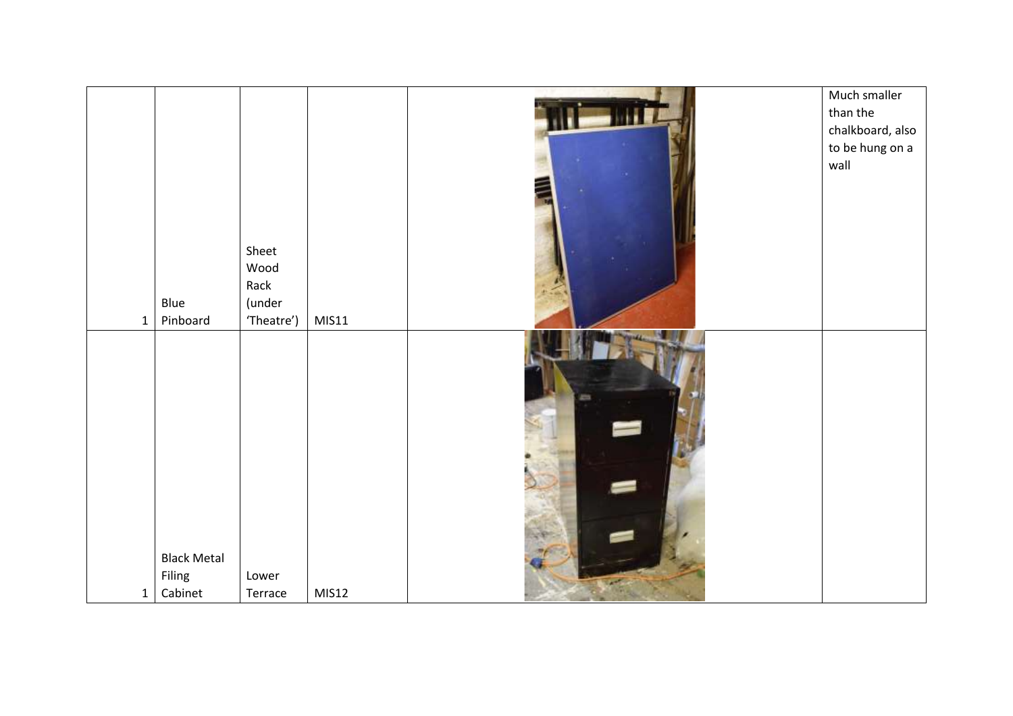|              |                    |            |       | Much smaller     |
|--------------|--------------------|------------|-------|------------------|
|              |                    |            |       | than the         |
|              |                    |            |       | chalkboard, also |
|              |                    |            |       | to be hung on a  |
|              |                    |            |       | wall             |
|              |                    |            |       |                  |
|              |                    |            |       |                  |
|              |                    |            |       |                  |
|              |                    |            |       |                  |
|              |                    | Sheet      |       |                  |
|              |                    | Wood       |       |                  |
|              |                    | Rack       |       |                  |
|              | Blue               | (under     |       |                  |
| $\mathbf{1}$ | Pinboard           | 'Theatre') | MIS11 |                  |
|              |                    |            |       |                  |
|              |                    |            |       |                  |
|              |                    |            |       |                  |
|              |                    |            |       |                  |
|              |                    |            |       |                  |
|              |                    |            |       |                  |
|              |                    |            |       |                  |
|              |                    |            |       |                  |
|              |                    |            |       |                  |
|              |                    |            |       |                  |
|              |                    |            |       |                  |
|              |                    |            |       |                  |
|              | <b>Black Metal</b> |            |       |                  |
|              | Filing             | Lower      |       |                  |
| $\mathbf{1}$ | Cabinet            | Terrace    | MIS12 |                  |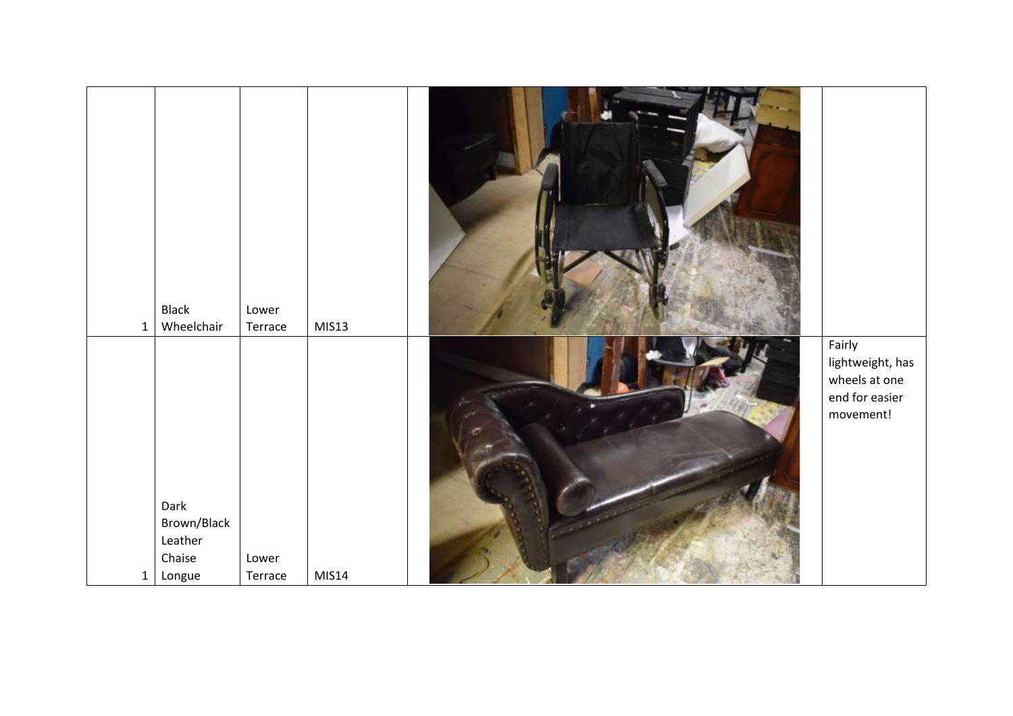| $\mathbf{1}$ | Black<br>Wheelchair                                | Lower<br>Terrace | <b>MIS13</b> |                                                                            |
|--------------|----------------------------------------------------|------------------|--------------|----------------------------------------------------------------------------|
| $\mathbf{1}$ | Dark<br>Brown/Black<br>Leather<br>Chaise<br>Longue | Lower<br>Terrace | MIS14        | Fairly<br>lightweight, has<br>wheels at one<br>end for easier<br>movement! |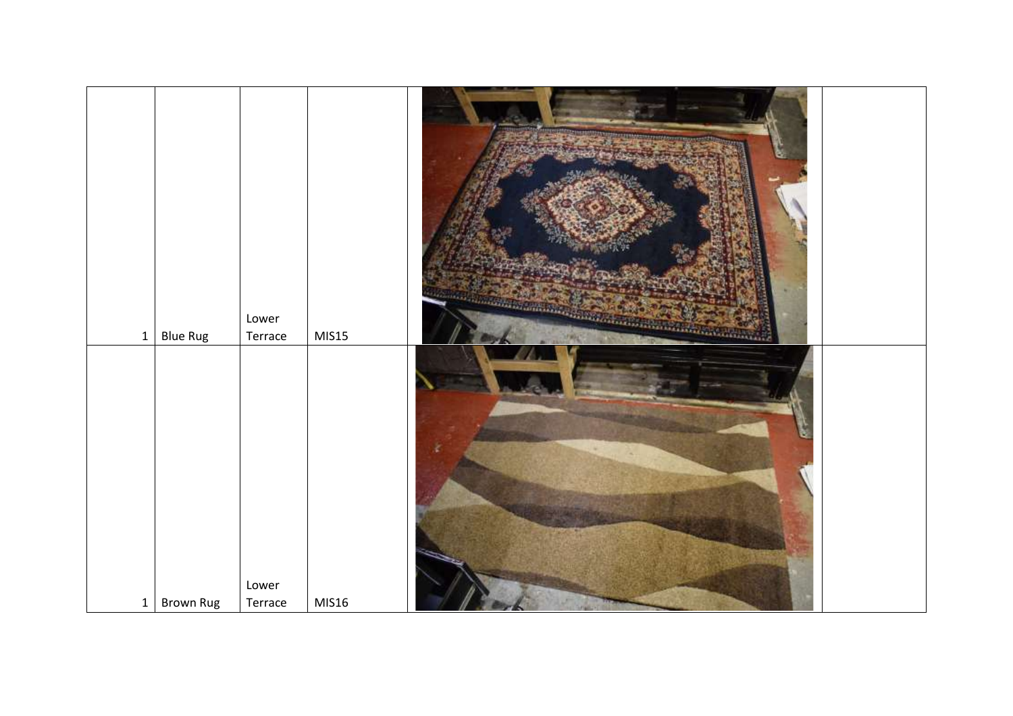|          | $1$ Blue Rug | Lower<br>Terrace | MIS15 | <b>STEE</b> |
|----------|--------------|------------------|-------|-------------|
| $1\vert$ | Brown Rug    | Lower<br>Terrace | MIS16 |             |